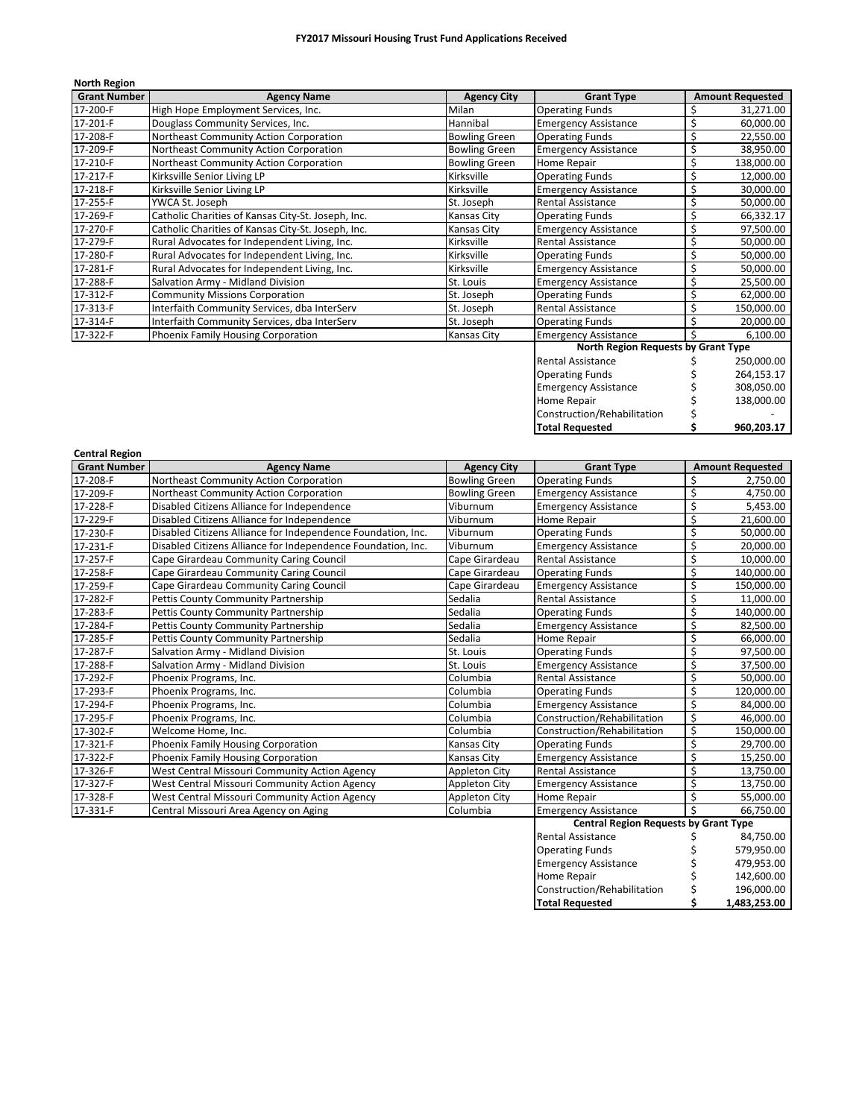| <b>North Region</b> |                                                    |                      |                                     |    |                         |
|---------------------|----------------------------------------------------|----------------------|-------------------------------------|----|-------------------------|
| <b>Grant Number</b> | <b>Agency Name</b>                                 | <b>Agency City</b>   | <b>Grant Type</b>                   |    | <b>Amount Requested</b> |
| 17-200-F            | High Hope Employment Services, Inc.                | Milan                | <b>Operating Funds</b>              |    | 31,271.00               |
| 17-201-F            | Douglass Community Services, Inc.                  | Hannibal             | <b>Emergency Assistance</b>         | \$ | 60,000.00               |
| 17-208-F            | Northeast Community Action Corporation             | <b>Bowling Green</b> | <b>Operating Funds</b>              |    | 22,550.00               |
| 17-209-F            | Northeast Community Action Corporation             | <b>Bowling Green</b> | <b>Emergency Assistance</b>         |    | 38,950.00               |
| 17-210-F            | Northeast Community Action Corporation             | <b>Bowling Green</b> | Home Repair                         |    | 138,000.00              |
| 17-217-F            | Kirksville Senior Living LP                        | Kirksville           | <b>Operating Funds</b>              |    | 12,000.00               |
| 17-218-F            | Kirksville Senior Living LP                        | Kirksville           | <b>Emergency Assistance</b>         |    | 30,000.00               |
| 17-255-F            | YWCA St. Joseph                                    | St. Joseph           | <b>Rental Assistance</b>            |    | 50,000.00               |
| 17-269-F            | Catholic Charities of Kansas City-St. Joseph, Inc. | Kansas City          | <b>Operating Funds</b>              |    | 66,332.17               |
| 17-270-F            | Catholic Charities of Kansas City-St. Joseph, Inc. | Kansas City          | <b>Emergency Assistance</b>         |    | 97,500.00               |
| 17-279-F            | Rural Advocates for Independent Living, Inc.       | Kirksville           | <b>Rental Assistance</b>            |    | 50,000.00               |
| 17-280-F            | Rural Advocates for Independent Living, Inc.       | Kirksville           | <b>Operating Funds</b>              | \$ | 50,000.00               |
| 17-281-F            | Rural Advocates for Independent Living, Inc.       | Kirksville           | <b>Emergency Assistance</b>         |    | 50,000.00               |
| 17-288-F            | Salvation Army - Midland Division                  | St. Louis            | <b>Emergency Assistance</b>         | \$ | 25,500.00               |
| 17-312-F            | <b>Community Missions Corporation</b>              | St. Joseph           | <b>Operating Funds</b>              |    | 62,000.00               |
| 17-313-F            | Interfaith Community Services, dba InterServ       | St. Joseph           | <b>Rental Assistance</b>            |    | 150,000.00              |
| 17-314-F            | Interfaith Community Services, dba InterServ       | St. Joseph           | <b>Operating Funds</b>              |    | 20,000.00               |
| 17-322-F            | Phoenix Family Housing Corporation                 | <b>Kansas City</b>   | <b>Emergency Assistance</b>         |    | 6,100.00                |
|                     |                                                    |                      | North Region Requests by Grant Type |    |                         |

| <b>Total Requested</b>      | 960,203.17 |
|-----------------------------|------------|
| Construction/Rehabilitation |            |
| <b>Home Repair</b>          | 138.000.00 |
| <b>Emergency Assistance</b> | 308,050.00 |
| <b>Operating Funds</b>      | 264,153.17 |
| <b>Rental Assistance</b>    | 250,000.00 |
|                             |            |

| <b>Central Region</b> |                                                              |                      |                                              |    |                         |
|-----------------------|--------------------------------------------------------------|----------------------|----------------------------------------------|----|-------------------------|
| <b>Grant Number</b>   | <b>Agency Name</b>                                           | <b>Agency City</b>   | <b>Grant Type</b>                            |    | <b>Amount Requested</b> |
| 17-208-F              | Northeast Community Action Corporation                       | <b>Bowling Green</b> | <b>Operating Funds</b>                       | \$ | 2,750.00                |
| 17-209-F              | Northeast Community Action Corporation                       | <b>Bowling Green</b> | <b>Emergency Assistance</b>                  | \$ | 4,750.00                |
| 17-228-F              | Disabled Citizens Alliance for Independence                  | Viburnum             | <b>Emergency Assistance</b>                  | \$ | 5,453.00                |
| 17-229-F              | Disabled Citizens Alliance for Independence                  | Viburnum             | Home Repair                                  | \$ | 21,600.00               |
| 17-230-F              | Disabled Citizens Alliance for Independence Foundation, Inc. | Viburnum             | <b>Operating Funds</b>                       | \$ | 50,000.00               |
| 17-231-F              | Disabled Citizens Alliance for Independence Foundation, Inc. | Viburnum             | <b>Emergency Assistance</b>                  | \$ | 20,000.00               |
| 17-257-F              | Cape Girardeau Community Caring Council                      | Cape Girardeau       | <b>Rental Assistance</b>                     | \$ | 10,000.00               |
| 17-258-F              | Cape Girardeau Community Caring Council                      | Cape Girardeau       | <b>Operating Funds</b>                       | \$ | 140,000.00              |
| 17-259-F              | Cape Girardeau Community Caring Council                      | Cape Girardeau       | <b>Emergency Assistance</b>                  | \$ | 150,000.00              |
| 17-282-F              | Pettis County Community Partnership                          | Sedalia              | <b>Rental Assistance</b>                     | \$ | 11,000.00               |
| 17-283-F              | Pettis County Community Partnership                          | Sedalia              | <b>Operating Funds</b>                       | \$ | 140,000.00              |
| 17-284-F              | Pettis County Community Partnership                          | Sedalia              | <b>Emergency Assistance</b>                  | \$ | 82,500.00               |
| 17-285-F              | Pettis County Community Partnership                          | Sedalia              | Home Repair                                  | \$ | 66,000.00               |
| 17-287-F              | Salvation Army - Midland Division                            | St. Louis            | <b>Operating Funds</b>                       | \$ | 97,500.00               |
| 17-288-F              | Salvation Army - Midland Division                            | St. Louis            | <b>Emergency Assistance</b>                  | \$ | 37,500.00               |
| 17-292-F              | Phoenix Programs, Inc.                                       | Columbia             | <b>Rental Assistance</b>                     | \$ | 50,000.00               |
| 17-293-F              | Phoenix Programs, Inc.                                       | Columbia             | <b>Operating Funds</b>                       | \$ | 120,000.00              |
| 17-294-F              | Phoenix Programs, Inc.                                       | Columbia             | <b>Emergency Assistance</b>                  | \$ | 84,000.00               |
| 17-295-F              | Phoenix Programs, Inc.                                       | Columbia             | Construction/Rehabilitation                  | \$ | 46,000.00               |
| 17-302-F              | Welcome Home, Inc.                                           | Columbia             | Construction/Rehabilitation                  | \$ | 150,000.00              |
| 17-321-F              | Phoenix Family Housing Corporation                           | Kansas City          | <b>Operating Funds</b>                       | \$ | 29,700.00               |
| 17-322-F              | Phoenix Family Housing Corporation                           | <b>Kansas City</b>   | <b>Emergency Assistance</b>                  | \$ | 15,250.00               |
| 17-326-F              | West Central Missouri Community Action Agency                | <b>Appleton City</b> | Rental Assistance                            | \$ | 13,750.00               |
| 17-327-F              | West Central Missouri Community Action Agency                | Appleton City        | <b>Emergency Assistance</b>                  | Ś  | 13,750.00               |
| 17-328-F              | West Central Missouri Community Action Agency                | <b>Appleton City</b> | Home Repair                                  | \$ | 55,000.00               |
| 17-331-F              | Central Missouri Area Agency on Aging                        | Columbia             | <b>Emergency Assistance</b>                  | Ś  | 66,750.00               |
|                       |                                                              |                      | <b>Central Region Requests by Grant Type</b> |    |                         |
|                       |                                                              |                      | <b>Rental Assistance</b>                     |    | 84,750.00               |
|                       |                                                              |                      | <b>Operating Funds</b>                       |    | 579,950.00              |
|                       |                                                              |                      | <b>Emergency Assistance</b>                  |    | 479,953.00              |
|                       |                                                              |                      | Home Repair                                  |    | 142,600.00              |
|                       |                                                              |                      | Construction/Rehabilitation                  | \$ | 196,000.00              |
|                       |                                                              |                      | <b>Total Requested</b>                       | Ś  | 1,483,253.00            |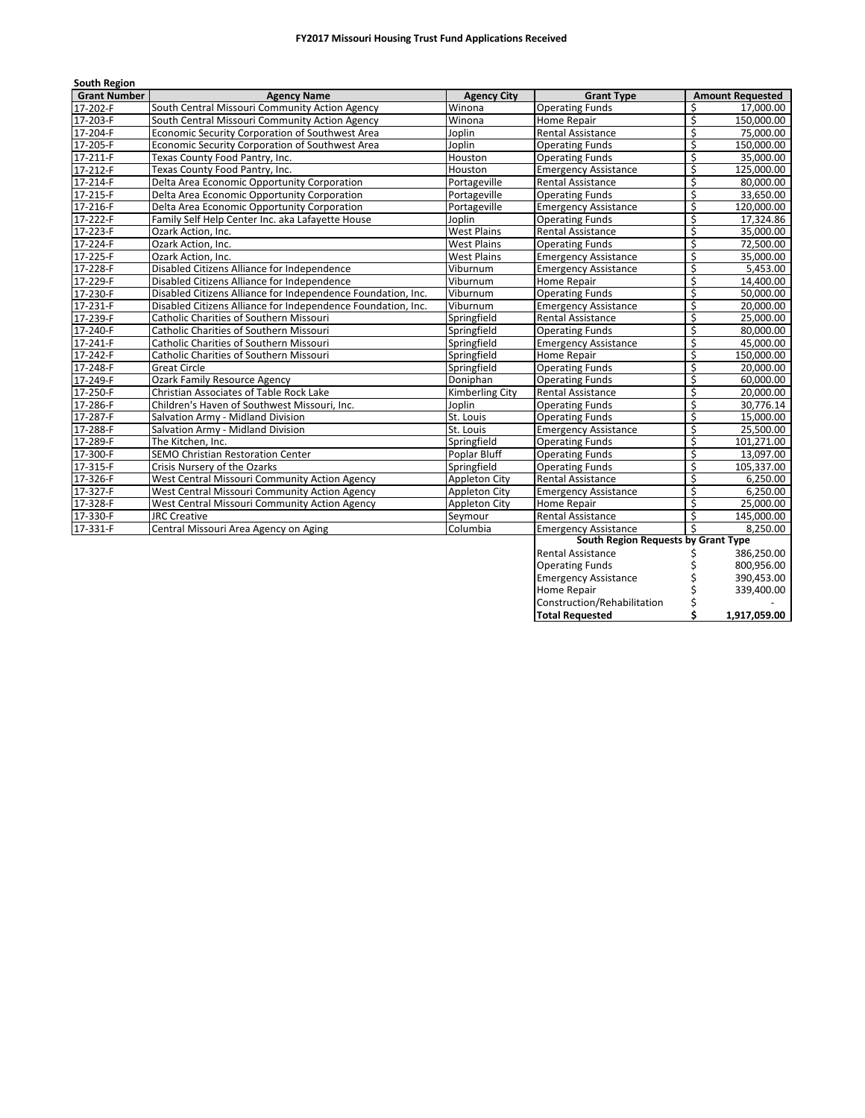| <b>South Region</b> |                                                              |                        |                                     |    |                         |
|---------------------|--------------------------------------------------------------|------------------------|-------------------------------------|----|-------------------------|
| <b>Grant Number</b> | <b>Agency Name</b>                                           | <b>Agency City</b>     | <b>Grant Type</b>                   |    | <b>Amount Requested</b> |
| 17-202-F            | South Central Missouri Community Action Agency               | Winona                 | <b>Operating Funds</b>              | \$ | 17,000.00               |
| 17-203-F            | South Central Missouri Community Action Agency               | Winona                 | Home Repair                         | \$ | 150,000.00              |
| 17-204-F            | Economic Security Corporation of Southwest Area              | Joplin                 | <b>Rental Assistance</b>            | \$ | 75,000.00               |
| 17-205-F            | Economic Security Corporation of Southwest Area              | Joplin                 | <b>Operating Funds</b>              | \$ | 150,000.00              |
| 17-211-F            | Texas County Food Pantry, Inc.                               | Houston                | <b>Operating Funds</b>              | Ś  | 35,000.00               |
| 17-212-F            | Texas County Food Pantry, Inc.                               | Houston                | <b>Emergency Assistance</b>         | \$ | 125,000.00              |
| 17-214-F            | Delta Area Economic Opportunity Corporation                  | Portageville           | <b>Rental Assistance</b>            | \$ | 80,000.00               |
| 17-215-F            | Delta Area Economic Opportunity Corporation                  | Portageville           | <b>Operating Funds</b>              | \$ | 33,650.00               |
| 17-216-F            | Delta Area Economic Opportunity Corporation                  | Portageville           | <b>Emergency Assistance</b>         | \$ | 120,000.00              |
| 17-222-F            | Family Self Help Center Inc. aka Lafayette House             | Joplin                 | <b>Operating Funds</b>              | \$ | 17,324.86               |
| 17-223-F            | Ozark Action, Inc.                                           | <b>West Plains</b>     | <b>Rental Assistance</b>            | \$ | 35,000.00               |
| 17-224-F            | Ozark Action, Inc.                                           | <b>West Plains</b>     | <b>Operating Funds</b>              | \$ | 72,500.00               |
| 17-225-F            | Ozark Action, Inc.                                           | <b>West Plains</b>     | <b>Emergency Assistance</b>         | \$ | 35,000.00               |
| 17-228-F            | Disabled Citizens Alliance for Independence                  | Viburnum               | <b>Emergency Assistance</b>         | Ś  | 5,453.00                |
| 17-229-F            | Disabled Citizens Alliance for Independence                  | Viburnum               | Home Repair                         | \$ | 14,400.00               |
| 17-230-F            | Disabled Citizens Alliance for Independence Foundation, Inc. | Viburnum               | <b>Operating Funds</b>              | \$ | 50,000.00               |
| 17-231-F            | Disabled Citizens Alliance for Independence Foundation, Inc. | Viburnum               | <b>Emergency Assistance</b>         | Ś  | 20.000.00               |
| 17-239-F            | <b>Catholic Charities of Southern Missouri</b>               | Springfield            | <b>Rental Assistance</b>            | \$ | 25,000.00               |
| 17-240-F            | Catholic Charities of Southern Missouri                      | Springfield            | <b>Operating Funds</b>              | Ś  | 80,000.00               |
| 17-241-F            | Catholic Charities of Southern Missouri                      | Springfield            | <b>Emergency Assistance</b>         | \$ | 45,000.00               |
| 17-242-F            | Catholic Charities of Southern Missouri                      | Springfield            | Home Repair                         | \$ | 150,000.00              |
| 17-248-F            | <b>Great Circle</b>                                          | Springfield            | <b>Operating Funds</b>              | \$ | 20.000.00               |
| 17-249-F            | <b>Ozark Family Resource Agency</b>                          | Doniphan               | <b>Operating Funds</b>              | \$ | 60,000.00               |
| 17-250-F            | <b>Christian Associates of Table Rock Lake</b>               | <b>Kimberling City</b> | <b>Rental Assistance</b>            | \$ | 20.000.00               |
| 17-286-F            | Children's Haven of Southwest Missouri, Inc.                 | Joplin                 | <b>Operating Funds</b>              | Ś  | 30,776.14               |
| 17-287-F            | Salvation Army - Midland Division                            | St. Louis              | <b>Operating Funds</b>              | \$ | 15,000.00               |
| 17-288-F            | Salvation Army - Midland Division                            | St. Louis              | <b>Emergency Assistance</b>         | \$ | 25,500.00               |
| 17-289-F            | The Kitchen, Inc.                                            | Springfield            | <b>Operating Funds</b>              | \$ | 101,271.00              |
| 17-300-F            | SEMO Christian Restoration Center                            | Poplar Bluff           | <b>Operating Funds</b>              | \$ | 13,097.00               |
| 17-315-F            | Crisis Nursery of the Ozarks                                 | Springfield            | <b>Operating Funds</b>              | \$ | 105,337.00              |
| 17-326-F            | West Central Missouri Community Action Agency                | Appleton City          | <b>Rental Assistance</b>            | \$ | 6,250.00                |
| 17-327-F            | West Central Missouri Community Action Agency                | <b>Appleton City</b>   | <b>Emergency Assistance</b>         | \$ | 6,250.00                |
| 17-328-F            | West Central Missouri Community Action Agency                | <b>Appleton City</b>   | Home Repair                         | \$ | 25,000.00               |
| 17-330-F            | <b>JRC Creative</b>                                          | Seymour                | <b>Rental Assistance</b>            | Ś  | 145,000.00              |
| 17-331-F            | Central Missouri Area Agency on Aging                        | Columbia               | <b>Emergency Assistance</b>         | Ś. | 8,250.00                |
|                     |                                                              |                        | South Region Requests by Grant Type |    |                         |
|                     |                                                              |                        | <b>Rental Assistance</b>            | Ş  | 386,250.00              |
|                     |                                                              |                        | Ostalista e Filmeda                 |    | 0.0000500               |

Operating Funds \$ 800,956.00 Emergency Assistance  $\qquad \qquad$ \$ 390,453.00 Home Repair  $\uparrow$  \$ 339,400.00 Construction/Rehabilitation \$ -

**Total Requested \$ 1,917,059.00**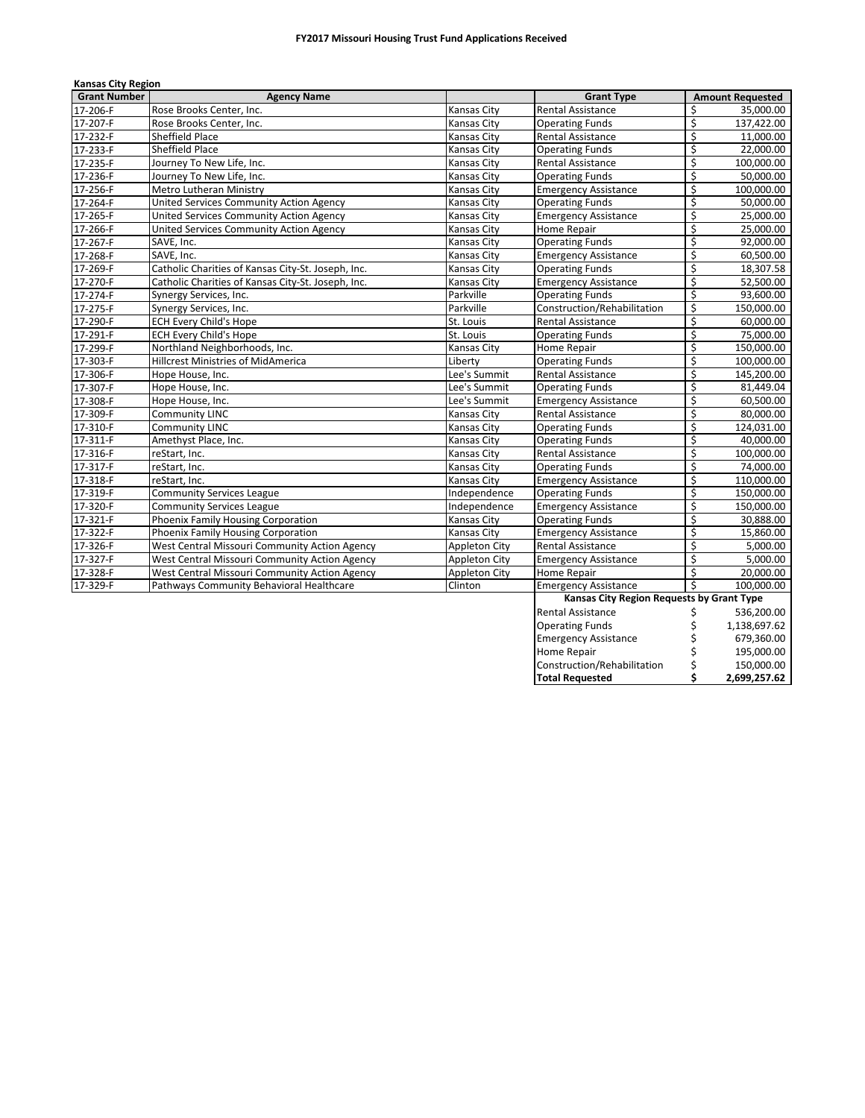| <b>Kansas City Region</b> |                                                    |                      |                                           |                         |                         |
|---------------------------|----------------------------------------------------|----------------------|-------------------------------------------|-------------------------|-------------------------|
| <b>Grant Number</b>       | <b>Agency Name</b>                                 |                      | <b>Grant Type</b>                         |                         | <b>Amount Requested</b> |
| 17-206-F                  | Rose Brooks Center, Inc.                           | Kansas City          | Rental Assistance                         | \$                      | 35,000.00               |
| 17-207-F                  | Rose Brooks Center, Inc.                           | <b>Kansas City</b>   | <b>Operating Funds</b>                    | \$                      | 137,422.00              |
| 17-232-F                  | Sheffield Place                                    | <b>Kansas City</b>   | Rental Assistance                         | \$                      | 11,000.00               |
| 17-233-F                  | <b>Sheffield Place</b>                             | Kansas City          | <b>Operating Funds</b>                    | \$                      | 22,000.00               |
| 17-235-F                  | Journey To New Life, Inc.                          | Kansas City          | Rental Assistance                         | \$                      | 100,000.00              |
| 17-236-F                  | Journey To New Life, Inc.                          | Kansas City          | <b>Operating Funds</b>                    | \$                      | 50,000.00               |
| 17-256-F                  | Metro Lutheran Ministry                            | Kansas City          | <b>Emergency Assistance</b>               | \$                      | 100,000.00              |
| 17-264-F                  | United Services Community Action Agency            | Kansas City          | Operating Funds                           | \$                      | 50,000.00               |
| 17-265-F                  | United Services Community Action Agency            | Kansas City          | <b>Emergency Assistance</b>               | \$                      | 25,000.00               |
| 17-266-F                  | United Services Community Action Agency            | <b>Kansas City</b>   | Home Repair                               | \$                      | 25,000.00               |
| 17-267-F                  | SAVE, Inc.                                         | Kansas City          | <b>Operating Funds</b>                    | \$                      | 92,000.00               |
| 17-268-F                  | SAVE, Inc.                                         | Kansas City          | <b>Emergency Assistance</b>               | \$                      | 60,500.00               |
| 17-269-F                  | Catholic Charities of Kansas City-St. Joseph, Inc. | Kansas City          | <b>Operating Funds</b>                    | \$                      | 18,307.58               |
| 17-270-F                  | Catholic Charities of Kansas City-St. Joseph, Inc. | Kansas City          | Emergency Assistance                      | \$                      | 52,500.00               |
| 17-274-F                  | Synergy Services, Inc.                             | Parkville            | <b>Operating Funds</b>                    | \$                      | 93,600.00               |
| 17-275-F                  | Synergy Services, Inc.                             | Parkville            | Construction/Rehabilitation               | $\overline{\xi}$        | 150,000.00              |
| 17-290-F                  | <b>ECH Every Child's Hope</b>                      | St. Louis            | <b>Rental Assistance</b>                  | \$                      | 60,000.00               |
| 17-291-F                  | <b>ECH Every Child's Hope</b>                      | St. Louis            | <b>Operating Funds</b>                    | \$                      | 75,000.00               |
| 17-299-F                  | Northland Neighborhoods, Inc.                      | Kansas City          | Home Repair                               | \$                      | 150,000.00              |
| 17-303-F                  | <b>Hillcrest Ministries of MidAmerica</b>          | Liberty              | <b>Operating Funds</b>                    | \$                      | 100,000.00              |
| 17-306-F                  | Hope House, Inc.                                   | Lee's Summit         | <b>Rental Assistance</b>                  | $\overline{\mathsf{s}}$ | 145,200.00              |
| 17-307-F                  | Hope House, Inc.                                   | Lee's Summit         | <b>Operating Funds</b>                    | \$                      | 81,449.04               |
| 17-308-F                  | Hope House, Inc.                                   | Lee's Summit         | <b>Emergency Assistance</b>               | \$                      | 60,500.00               |
| 17-309-F                  | <b>Community LINC</b>                              | <b>Kansas City</b>   | Rental Assistance                         | \$                      | 80,000.00               |
| 17-310-F                  | Community LINC                                     | Kansas City          | <b>Operating Funds</b>                    | \$                      | 124,031.00              |
| 17-311-F                  | Amethyst Place, Inc.                               | <b>Kansas City</b>   | <b>Operating Funds</b>                    | \$                      | 40,000.00               |
| 17-316-F                  | reStart, Inc.                                      | Kansas City          | <b>Rental Assistance</b>                  | \$                      | 100,000.00              |
| 17-317-F                  | reStart, Inc.                                      | <b>Kansas City</b>   | <b>Operating Funds</b>                    | \$                      | 74,000.00               |
| 17-318-F                  | reStart, Inc.                                      | Kansas City          | <b>Emergency Assistance</b>               | $\overline{\xi}$        | 110,000.00              |
| 17-319-F                  | <b>Community Services League</b>                   | Independence         | <b>Operating Funds</b>                    | \$                      | 150,000.00              |
| 17-320-F                  | <b>Community Services League</b>                   | Independence         | <b>Emergency Assistance</b>               | \$                      | 150,000.00              |
| 17-321-F                  | Phoenix Family Housing Corporation                 | <b>Kansas City</b>   | <b>Operating Funds</b>                    | \$                      | 30,888.00               |
| 17-322-F                  | Phoenix Family Housing Corporation                 | Kansas City          | <b>Emergency Assistance</b>               | \$                      | 15,860.00               |
| 17-326-F                  | West Central Missouri Community Action Agency      | <b>Appleton City</b> | <b>Rental Assistance</b>                  | \$                      | 5,000.00                |
| 17-327-F                  | West Central Missouri Community Action Agency      | Appleton City        | <b>Emergency Assistance</b>               | \$                      | 5,000.00                |
| 17-328-F                  | West Central Missouri Community Action Agency      | Appleton City        | Home Repair                               | \$                      | 20.000.00               |
| 17-329-F                  | Pathways Community Behavioral Healthcare           | Clinton              | <b>Emergency Assistance</b>               | Ś                       | 100.000.00              |
|                           |                                                    |                      | Kansas City Region Requests by Grant Type |                         |                         |
|                           |                                                    |                      | <b>Rental Assistance</b>                  | \$                      | 536,200.00              |
|                           |                                                    |                      | <b>Operating Funds</b>                    | \$                      | 1,138,697.62            |
|                           |                                                    |                      | <b>Emergency Assistance</b>               | \$                      | 679,360.00              |
|                           |                                                    |                      | Home Repair                               | \$                      | 195,000.00              |
|                           |                                                    |                      | Construction/Rehabilitation               | \$                      | 150,000.00              |
|                           |                                                    |                      | <b>Total Requested</b>                    | \$                      | 2,699,257.62            |